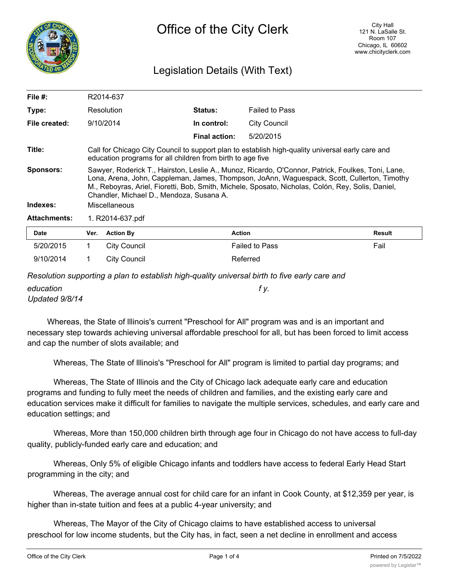

# Legislation Details (With Text)

| File $#$ :          | R2014-637                                                                                                                                                                                                                                                                                                                                         |                     |                      |                       |        |  |  |
|---------------------|---------------------------------------------------------------------------------------------------------------------------------------------------------------------------------------------------------------------------------------------------------------------------------------------------------------------------------------------------|---------------------|----------------------|-----------------------|--------|--|--|
| Type:               |                                                                                                                                                                                                                                                                                                                                                   | Resolution          | Status:              | <b>Failed to Pass</b> |        |  |  |
| File created:       |                                                                                                                                                                                                                                                                                                                                                   | 9/10/2014           | In control:          | City Council          |        |  |  |
|                     |                                                                                                                                                                                                                                                                                                                                                   |                     | <b>Final action:</b> | 5/20/2015             |        |  |  |
| Title:              | Call for Chicago City Council to support plan to establish high-quality universal early care and<br>education programs for all children from birth to age five                                                                                                                                                                                    |                     |                      |                       |        |  |  |
| <b>Sponsors:</b>    | Sawyer, Roderick T., Hairston, Leslie A., Munoz, Ricardo, O'Connor, Patrick, Foulkes, Toni, Lane,<br>Lona, Arena, John, Cappleman, James, Thompson, JoAnn, Waguespack, Scott, Cullerton, Timothy<br>M., Reboyras, Ariel, Fioretti, Bob, Smith, Michele, Sposato, Nicholas, Colón, Rey, Solis, Daniel,<br>Chandler, Michael D., Mendoza, Susana A. |                     |                      |                       |        |  |  |
| Indexes:            | <b>Miscellaneous</b>                                                                                                                                                                                                                                                                                                                              |                     |                      |                       |        |  |  |
| <b>Attachments:</b> | 1. R2014-637.pdf                                                                                                                                                                                                                                                                                                                                  |                     |                      |                       |        |  |  |
| <b>Date</b>         | Ver.                                                                                                                                                                                                                                                                                                                                              | <b>Action By</b>    |                      | <b>Action</b>         | Result |  |  |
| 5/20/2015           | 1.                                                                                                                                                                                                                                                                                                                                                | City Council        |                      | <b>Failed to Pass</b> | Fail   |  |  |
| 9/10/2014           |                                                                                                                                                                                                                                                                                                                                                   | <b>City Council</b> |                      | Referred              |        |  |  |

*Resolution supporting a plan to establish high-quality universal birth to five early care and*

*education f y. Updated 9/8/14*

Whereas, the State of lllinois's current "Preschool for All" program was and is an important and necessary step towards achieving universal affordable preschool for all, but has been forced to limit access and cap the number of slots available; and

Whereas, The State of lllinois's "Preschool for All" program is limited to partial day programs; and

Whereas, The State of Illinois and the City of Chicago lack adequate early care and education programs and funding to fully meet the needs of children and families, and the existing early care and education services make it difficult for families to navigate the multiple services, schedules, and early care and education settings; and

Whereas, More than 150,000 children birth through age four in Chicago do not have access to full-day quality, publicly-funded early care and education; and

Whereas, Only 5% of eligible Chicago infants and toddlers have access to federal Early Head Start programming in the city; and

Whereas, The average annual cost for child care for an infant in Cook County, at \$12,359 per year, is higher than in-state tuition and fees at a public 4-year university; and

Whereas, The Mayor of the City of Chicago claims to have established access to universal preschool for low income students, but the City has, in fact, seen a net decline in enrollment and access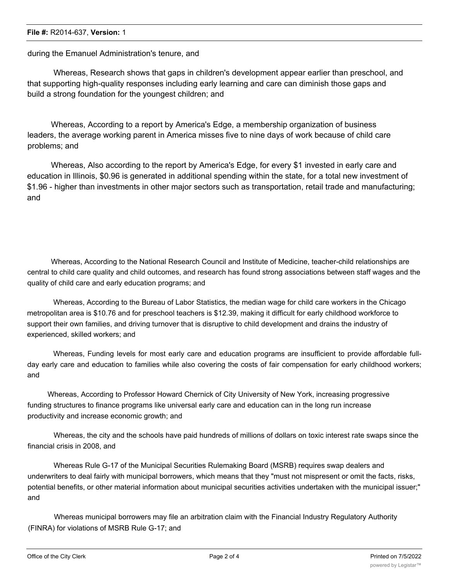#### **File #:** R2014-637, **Version:** 1

### during the Emanuel Administration's tenure, and

Whereas, Research shows that gaps in children's development appear earlier than preschool, and that supporting high-quality responses including early learning and care can diminish those gaps and build a strong foundation for the youngest children; and

Whereas, According to a report by America's Edge, a membership organization of business leaders, the average working parent in America misses five to nine days of work because of child care problems; and

Whereas, Also according to the report by America's Edge, for every \$1 invested in early care and education in Illinois, \$0.96 is generated in additional spending within the state, for a total new investment of \$1.96 - higher than investments in other major sectors such as transportation, retail trade and manufacturing; and

Whereas, According to the National Research Council and Institute of Medicine, teacher-child relationships are central to child care quality and child outcomes, and research has found strong associations between staff wages and the quality of child care and early education programs; and

Whereas, According to the Bureau of Labor Statistics, the median wage for child care workers in the Chicago metropolitan area is \$10.76 and for preschool teachers is \$12.39, making it difficult for early childhood workforce to support their own families, and driving turnover that is disruptive to child development and drains the industry of experienced, skilled workers; and

Whereas, Funding levels for most early care and education programs are insufficient to provide affordable fullday early care and education to families while also covering the costs of fair compensation for early childhood workers; and

Whereas, According to Professor Howard Chernick of City University of New York, increasing progressive funding structures to finance programs like universal early care and education can in the long run increase productivity and increase economic growth; and

Whereas, the city and the schools have paid hundreds of millions of dollars on toxic interest rate swaps since the financial crisis in 2008, and

Whereas Rule G-17 of the Municipal Securities Rulemaking Board (MSRB) requires swap dealers and underwriters to deal fairly with municipal borrowers, which means that they "must not mispresent or omit the facts, risks, potential benefits, or other material information about municipal securities activities undertaken with the municipal issuer;" and

Whereas municipal borrowers may file an arbitration claim with the Financial Industry Regulatory Authority (FINRA) for violations of MSRB Rule G-17; and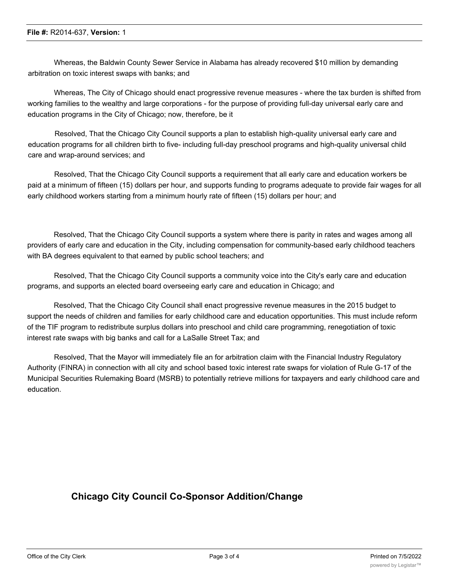Whereas, the Baldwin County Sewer Service in Alabama has already recovered \$10 million by demanding arbitration on toxic interest swaps with banks; and

Whereas, The City of Chicago should enact progressive revenue measures - where the tax burden is shifted from working families to the wealthy and large corporations - for the purpose of providing full-day universal early care and education programs in the City of Chicago; now, therefore, be it

Resolved, That the Chicago City Council supports a plan to establish high-quality universal early care and education programs for all children birth to five- including full-day preschool programs and high-quality universal child care and wrap-around services; and

Resolved, That the Chicago City Council supports a requirement that all early care and education workers be paid at a minimum of fifteen (15) dollars per hour, and supports funding to programs adequate to provide fair wages for all early childhood workers starting from a minimum hourly rate of fifteen (15) dollars per hour; and

Resolved, That the Chicago City Council supports a system where there is parity in rates and wages among all providers of early care and education in the City, including compensation for community-based early childhood teachers with BA degrees equivalent to that earned by public school teachers; and

Resolved, That the Chicago City Council supports a community voice into the City's early care and education programs, and supports an elected board overseeing early care and education in Chicago; and

Resolved, That the Chicago City Council shall enact progressive revenue measures in the 2015 budget to support the needs of children and families for early childhood care and education opportunities. This must include reform of the TIF program to redistribute surplus dollars into preschool and child care programming, renegotiation of toxic interest rate swaps with big banks and call for a LaSalle Street Tax; and

Resolved, That the Mayor will immediately file an for arbitration claim with the Financial Industry Regulatory Authority (FINRA) in connection with all city and school based toxic interest rate swaps for violation of Rule G-17 of the Municipal Securities Rulemaking Board (MSRB) to potentially retrieve millions for taxpayers and early childhood care and education.

## **Chicago City Council Co-Sponsor Addition/Change**